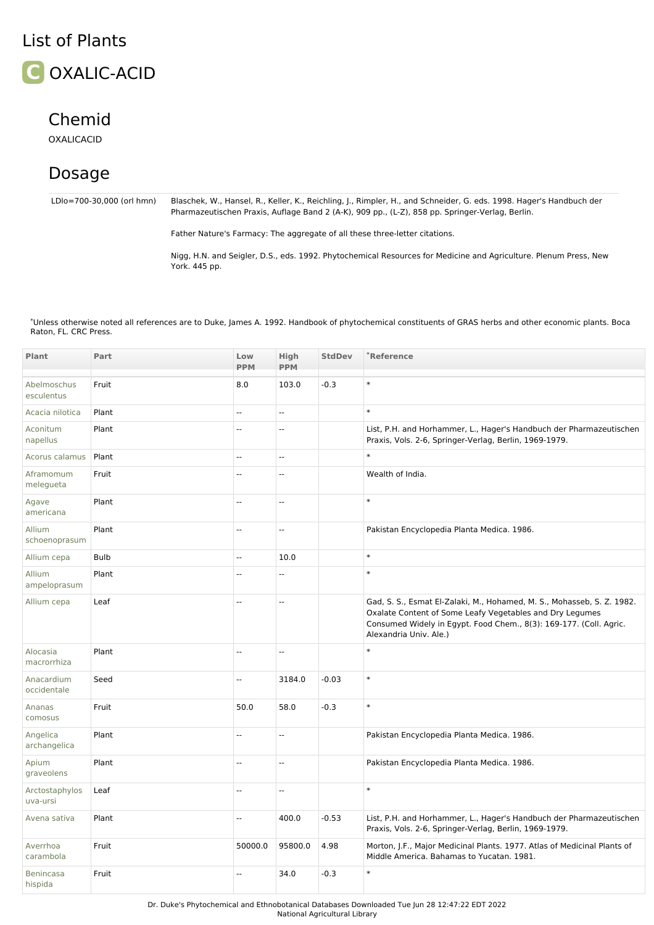## List of Plants



## Chemid

OXALICACID

## Dosage

LDlo=700-30,000 (orl hmn) Blaschek, W., Hansel, R., Keller, K., Reichling, J., Rimpler, H., and Schneider, G. eds. 1998. Hager's Handbuch der Pharmazeutischen Praxis, Auflage Band 2 (A-K), 909 pp., (L-Z), 858 pp. Springer-Verlag, Berlin.

Father Nature's Farmacy: The aggregate of all these three-letter citations.

Nigg, H.N. and Seigler, D.S., eds. 1992. Phytochemical Resources for Medicine and Agriculture. Plenum Press, New York. 445 pp.

\*Unless otherwise noted all references are to Duke, James A. 1992. Handbook of phytochemical constituents of GRAS herbs and other economic plants. Boca Raton, FL. CRC Press.

| Plant                       | Part        | Low<br><b>PPM</b> | <b>High</b><br><b>PPM</b> | <b>StdDev</b> | *Reference                                                                                                                                                                                                                         |
|-----------------------------|-------------|-------------------|---------------------------|---------------|------------------------------------------------------------------------------------------------------------------------------------------------------------------------------------------------------------------------------------|
| Abelmoschus<br>esculentus   | Fruit       | 8.0               | 103.0                     | $-0.3$        | $\ast$                                                                                                                                                                                                                             |
| Acacia nilotica             | Plant       | Ξ.                | u.                        |               | $\ast$                                                                                                                                                                                                                             |
| Aconitum<br>napellus        | Plant       | Ξ.                | ÷,                        |               | List, P.H. and Horhammer, L., Hager's Handbuch der Pharmazeutischen<br>Praxis, Vols. 2-6, Springer-Verlag, Berlin, 1969-1979.                                                                                                      |
| Acorus calamus              | Plant       | Ξ.                | Ξ.                        |               | $\ast$                                                                                                                                                                                                                             |
| Aframomum<br>melegueta      | Fruit       | Ξ.                | $\sim$                    |               | Wealth of India.                                                                                                                                                                                                                   |
| Agave<br>americana          | Plant       | Ξ.                | Ξ.                        |               | $\ast$                                                                                                                                                                                                                             |
| Allium<br>schoenoprasum     | Plant       | u.                | Ξ.                        |               | Pakistan Encyclopedia Planta Medica. 1986.                                                                                                                                                                                         |
| Allium cepa                 | <b>Bulb</b> | Щ,                | 10.0                      |               | $\ast$                                                                                                                                                                                                                             |
| Allium<br>ampeloprasum      | Plant       | --                | $\overline{a}$            |               | $\ast$                                                                                                                                                                                                                             |
| Allium cepa                 | Leaf        | 44                | ÷,                        |               | Gad, S. S., Esmat El-Zalaki, M., Hohamed, M. S., Mohasseb, S. Z. 1982.<br>Oxalate Content of Some Leafy Vegetables and Dry Legumes<br>Consumed Widely in Egypt. Food Chem., 8(3): 169-177. (Coll. Agric.<br>Alexandria Univ. Ale.) |
| Alocasia<br>macrorrhiza     | Plant       | Ξ.                | $\sim$                    |               | $\ast$                                                                                                                                                                                                                             |
| Anacardium<br>occidentale   | Seed        | Ξ.                | 3184.0                    | $-0.03$       | $\ast$                                                                                                                                                                                                                             |
| Ananas<br>comosus           | Fruit       | 50.0              | 58.0                      | $-0.3$        | $\ast$                                                                                                                                                                                                                             |
| Angelica<br>archangelica    | Plant       | Щ,                | u.                        |               | Pakistan Encyclopedia Planta Medica. 1986.                                                                                                                                                                                         |
| Apium<br>graveolens         | Plant       | Ξ.                | Ξ.                        |               | Pakistan Encyclopedia Planta Medica. 1986.                                                                                                                                                                                         |
| Arctostaphylos<br>uva-ursi  | Leaf        | Ξ.                | Ξ.                        |               | $\ast$                                                                                                                                                                                                                             |
| Avena sativa                | Plant       | Ξ.                | 400.0                     | $-0.53$       | List, P.H. and Horhammer, L., Hager's Handbuch der Pharmazeutischen<br>Praxis, Vols. 2-6, Springer-Verlag, Berlin, 1969-1979.                                                                                                      |
| Averrhoa<br>carambola       | Fruit       | 50000.0           | 95800.0                   | 4.98          | Morton, J.F., Major Medicinal Plants. 1977. Atlas of Medicinal Plants of<br>Middle America. Bahamas to Yucatan, 1981.                                                                                                              |
| <b>Benincasa</b><br>hispida | Fruit       |                   | 34.0                      | $-0.3$        | $\ast$                                                                                                                                                                                                                             |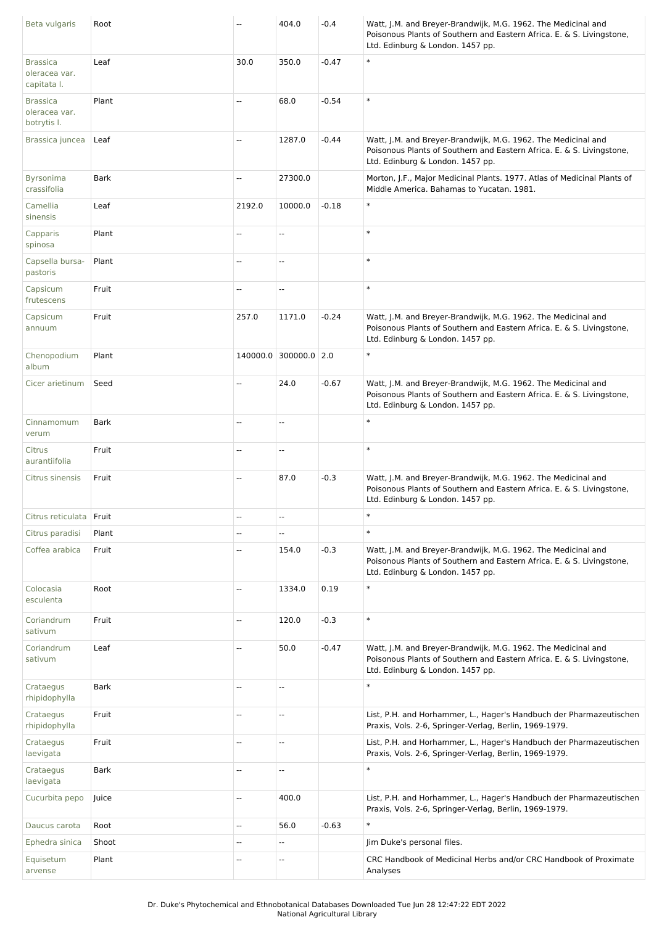| Beta vulgaris                                   | Root        | Ξ.                       | 404.0                 | $-0.4$  | Watt, J.M. and Breyer-Brandwijk, M.G. 1962. The Medicinal and<br>Poisonous Plants of Southern and Eastern Africa. E. & S. Livingstone,<br>Ltd. Edinburg & London. 1457 pp. |
|-------------------------------------------------|-------------|--------------------------|-----------------------|---------|----------------------------------------------------------------------------------------------------------------------------------------------------------------------------|
| <b>Brassica</b><br>oleracea var.<br>capitata I. | Leaf        | 30.0                     | 350.0                 | $-0.47$ | $\ast$                                                                                                                                                                     |
| <b>Brassica</b><br>oleracea var.<br>botrytis I. | Plant       | $\overline{\phantom{a}}$ | 68.0                  | $-0.54$ | $\ast$                                                                                                                                                                     |
| Brassica juncea                                 | Leaf        | Ξ.                       | 1287.0                | $-0.44$ | Watt, J.M. and Breyer-Brandwijk, M.G. 1962. The Medicinal and<br>Poisonous Plants of Southern and Eastern Africa. E. & S. Livingstone,<br>Ltd. Edinburg & London. 1457 pp. |
| Byrsonima<br>crassifolia                        | <b>Bark</b> | --                       | 27300.0               |         | Morton, J.F., Major Medicinal Plants. 1977. Atlas of Medicinal Plants of<br>Middle America. Bahamas to Yucatan. 1981.                                                      |
| Camellia<br>sinensis                            | Leaf        | 2192.0                   | 10000.0               | $-0.18$ | $\ast$                                                                                                                                                                     |
| Capparis<br>spinosa                             | Plant       | --                       | --                    |         | $\ast$                                                                                                                                                                     |
| Capsella bursa-<br>pastoris                     | Plant       | Ξ.                       | Ш,                    |         | $\ast$                                                                                                                                                                     |
| Capsicum<br>frutescens                          | Fruit       | Ξ.                       | Ξ.                    |         | $\ast$                                                                                                                                                                     |
| Capsicum<br>annuum                              | Fruit       | 257.0                    | 1171.0                | $-0.24$ | Watt, J.M. and Breyer-Brandwijk, M.G. 1962. The Medicinal and<br>Poisonous Plants of Southern and Eastern Africa. E. & S. Livingstone,<br>Ltd. Edinburg & London. 1457 pp. |
| Chenopodium<br>album                            | Plant       |                          | 140000.0 300000.0 2.0 |         | $\ast$                                                                                                                                                                     |
| Cicer arietinum                                 | Seed        | --                       | 24.0                  | $-0.67$ | Watt, J.M. and Breyer-Brandwijk, M.G. 1962. The Medicinal and<br>Poisonous Plants of Southern and Eastern Africa. E. & S. Livingstone,<br>Ltd. Edinburg & London. 1457 pp. |
| Cinnamomum<br>verum                             | <b>Bark</b> | $\overline{\phantom{a}}$ | Ξ.                    |         | $\ast$                                                                                                                                                                     |
| Citrus<br>aurantiifolia                         | Fruit       | $\overline{\phantom{a}}$ | Щ,                    |         | $\ast$                                                                                                                                                                     |
| Citrus sinensis                                 | Fruit       | Ξ.                       | 87.0                  | $-0.3$  | Watt, J.M. and Breyer-Brandwijk, M.G. 1962. The Medicinal and<br>Poisonous Plants of Southern and Eastern Africa. E. & S. Livingstone,<br>Ltd. Edinburg & London. 1457 pp. |
| Citrus reticulata                               | Fruit       | $\overline{\phantom{a}}$ | --                    |         | $\ast$                                                                                                                                                                     |
| Citrus paradisi                                 | Plant       | $\overline{\phantom{a}}$ | Ш,                    |         | $\ast$                                                                                                                                                                     |
| Coffea arabica                                  | Fruit       | $\cdots$                 | 154.0                 | $-0.3$  | Watt, J.M. and Breyer-Brandwijk, M.G. 1962. The Medicinal and<br>Poisonous Plants of Southern and Eastern Africa. E. & S. Livingstone,<br>Ltd. Edinburg & London. 1457 pp. |
| Colocasia<br>esculenta                          | Root        | Ξ.                       | 1334.0                | 0.19    | $\ast$                                                                                                                                                                     |
| Coriandrum<br>sativum                           | Fruit       | $\overline{\phantom{a}}$ | 120.0                 | $-0.3$  | $\ast$                                                                                                                                                                     |
| Coriandrum<br>sativum                           | Leaf        | Ξ.                       | 50.0                  | $-0.47$ | Watt, J.M. and Breyer-Brandwijk, M.G. 1962. The Medicinal and<br>Poisonous Plants of Southern and Eastern Africa. E. & S. Livingstone,<br>Ltd. Edinburg & London. 1457 pp. |
| Crataegus<br>rhipidophylla                      | <b>Bark</b> | $\overline{\phantom{a}}$ | --                    |         | $\ast$                                                                                                                                                                     |
| Crataegus<br>rhipidophylla                      | Fruit       | $\overline{a}$           | u.                    |         | List, P.H. and Horhammer, L., Hager's Handbuch der Pharmazeutischen<br>Praxis, Vols. 2-6, Springer-Verlag, Berlin, 1969-1979.                                              |
| Crataegus<br>laevigata                          | Fruit       | --                       | --                    |         | List, P.H. and Horhammer, L., Hager's Handbuch der Pharmazeutischen<br>Praxis, Vols. 2-6, Springer-Verlag, Berlin, 1969-1979.                                              |
| Crataegus<br>laevigata                          | <b>Bark</b> | --                       | Ξ.                    |         | $\ast$                                                                                                                                                                     |
| Cucurbita pepo                                  | Juice       | --                       | 400.0                 |         | List, P.H. and Horhammer, L., Hager's Handbuch der Pharmazeutischen<br>Praxis, Vols. 2-6, Springer-Verlag, Berlin, 1969-1979.                                              |
| Daucus carota                                   | Root        | --                       | 56.0                  | $-0.63$ | $\ast$                                                                                                                                                                     |
| Ephedra sinica                                  | Shoot       | Ξ.                       | Щ,                    |         | Jim Duke's personal files.                                                                                                                                                 |
| Equisetum<br>arvense                            | Plant       | ٠.                       | Ц.                    |         | CRC Handbook of Medicinal Herbs and/or CRC Handbook of Proximate<br>Analyses                                                                                               |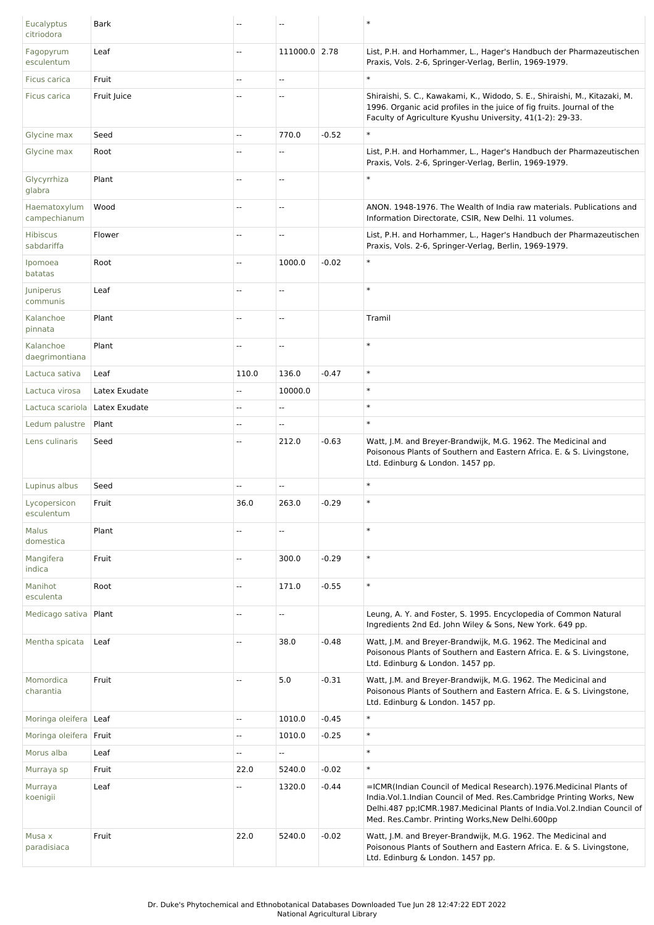| Eucalyptus<br>citriodora     | Bark          |                          |               |         | $\ast$                                                                                                                                                                                                                                                                         |
|------------------------------|---------------|--------------------------|---------------|---------|--------------------------------------------------------------------------------------------------------------------------------------------------------------------------------------------------------------------------------------------------------------------------------|
| Fagopyrum<br>esculentum      | Leaf          | --                       | 111000.0 2.78 |         | List, P.H. and Horhammer, L., Hager's Handbuch der Pharmazeutischen<br>Praxis, Vols. 2-6, Springer-Verlag, Berlin, 1969-1979.                                                                                                                                                  |
| Ficus carica                 | Fruit         | --                       | Щ,            |         | $\ast$                                                                                                                                                                                                                                                                         |
| Ficus carica                 | Fruit Juice   | ٠.                       | --            |         | Shiraishi, S. C., Kawakami, K., Widodo, S. E., Shiraishi, M., Kitazaki, M.<br>1996. Organic acid profiles in the juice of fig fruits. Journal of the<br>Faculty of Agriculture Kyushu University, 41(1-2): 29-33.                                                              |
| Glycine max                  | Seed          | --                       | 770.0         | $-0.52$ | $\ast$                                                                                                                                                                                                                                                                         |
| Glycine max                  | Root          | --                       | --            |         | List, P.H. and Horhammer, L., Hager's Handbuch der Pharmazeutischen<br>Praxis, Vols. 2-6, Springer-Verlag, Berlin, 1969-1979.                                                                                                                                                  |
| Glycyrrhiza<br>glabra        | Plant         | ÷.                       | u.            |         | $\ast$                                                                                                                                                                                                                                                                         |
| Haematoxylum<br>campechianum | Wood          | --                       | --            |         | ANON. 1948-1976. The Wealth of India raw materials. Publications and<br>Information Directorate, CSIR, New Delhi. 11 volumes.                                                                                                                                                  |
| Hibiscus<br>sabdariffa       | Flower        | --                       | --            |         | List, P.H. and Horhammer, L., Hager's Handbuch der Pharmazeutischen<br>Praxis, Vols. 2-6, Springer-Verlag, Berlin, 1969-1979.                                                                                                                                                  |
| Ipomoea<br>batatas           | Root          | $\overline{\phantom{a}}$ | 1000.0        | $-0.02$ | $\ast$                                                                                                                                                                                                                                                                         |
| Juniperus<br>communis        | Leaf          | $\overline{\phantom{a}}$ | Ξ.            |         | $\ast$                                                                                                                                                                                                                                                                         |
| Kalanchoe<br>pinnata         | Plant         | --                       | --            |         | Tramil                                                                                                                                                                                                                                                                         |
| Kalanchoe<br>daegrimontiana  | Plant         | --                       | ۵.            |         | $\ast$                                                                                                                                                                                                                                                                         |
| Lactuca sativa               | Leaf          | 110.0                    | 136.0         | $-0.47$ | $\ast$                                                                                                                                                                                                                                                                         |
| Lactuca virosa               | Latex Exudate | $\overline{\phantom{a}}$ | 10000.0       |         | $\ast$                                                                                                                                                                                                                                                                         |
| Lactuca scariola             | Latex Exudate | --                       | --            |         | $\ast$                                                                                                                                                                                                                                                                         |
| Ledum palustre               | Plant         | --                       | Ξ.            |         | $\ast$                                                                                                                                                                                                                                                                         |
| Lens culinaris               | Seed          | --                       | 212.0         | $-0.63$ | Watt, J.M. and Breyer-Brandwijk, M.G. 1962. The Medicinal and<br>Poisonous Plants of Southern and Eastern Africa. E. & S. Livingstone,<br>Ltd. Edinburg & London. 1457 pp.                                                                                                     |
| Lupinus albus                | Seed          | ÷.                       | Ш,            |         | $\ast$                                                                                                                                                                                                                                                                         |
| Lycopersicon<br>esculentum   | Fruit         | 36.0                     | 263.0         | $-0.29$ | $\ast$                                                                                                                                                                                                                                                                         |
| Malus<br>domestica           | Plant         | Щ,                       | Ш,            |         | $\ast$                                                                                                                                                                                                                                                                         |
| Mangifera<br>indica          | Fruit         | Ξ.                       | 300.0         | $-0.29$ | $\ast$                                                                                                                                                                                                                                                                         |
| Manihot<br>esculenta         | Root          | Щ,                       | 171.0         | $-0.55$ | $\ast$                                                                                                                                                                                                                                                                         |
| Medicago sativa              | Plant         | Ξ.                       | Щ,            |         | Leung, A. Y. and Foster, S. 1995. Encyclopedia of Common Natural<br>Ingredients 2nd Ed. John Wiley & Sons, New York. 649 pp.                                                                                                                                                   |
| Mentha spicata               | Leaf          | --                       | 38.0          | $-0.48$ | Watt, J.M. and Breyer-Brandwijk, M.G. 1962. The Medicinal and<br>Poisonous Plants of Southern and Eastern Africa. E. & S. Livingstone,<br>Ltd. Edinburg & London. 1457 pp.                                                                                                     |
| Momordica<br>charantia       | Fruit         | u.                       | 5.0           | $-0.31$ | Watt, J.M. and Breyer-Brandwijk, M.G. 1962. The Medicinal and<br>Poisonous Plants of Southern and Eastern Africa. E. & S. Livingstone,<br>Ltd. Edinburg & London. 1457 pp.                                                                                                     |
| Moringa oleifera   Leaf      |               | $\overline{\phantom{a}}$ | 1010.0        | $-0.45$ | $\ast$                                                                                                                                                                                                                                                                         |
| Moringa oleifera   Fruit     |               | $\overline{\phantom{a}}$ | 1010.0        | $-0.25$ | $\ast$                                                                                                                                                                                                                                                                         |
| Morus alba                   | Leaf          | Ξ.                       | u.            |         | $\ast$                                                                                                                                                                                                                                                                         |
| Murraya sp                   | Fruit         | 22.0                     | 5240.0        | $-0.02$ | $\ast$                                                                                                                                                                                                                                                                         |
| Murraya<br>koenigii          | Leaf          | --                       | 1320.0        | $-0.44$ | =ICMR(Indian Council of Medical Research).1976. Medicinal Plants of<br>India. Vol. 1. Indian Council of Med. Res. Cambridge Printing Works, New<br>Delhi.487 pp;ICMR.1987.Medicinal Plants of India.Vol.2.Indian Council of<br>Med. Res.Cambr. Printing Works, New Delhi.600pp |
| Musa x<br>paradisiaca        | Fruit         | 22.0                     | 5240.0        | $-0.02$ | Watt, J.M. and Breyer-Brandwijk, M.G. 1962. The Medicinal and<br>Poisonous Plants of Southern and Eastern Africa. E. & S. Livingstone,<br>Ltd. Edinburg & London. 1457 pp.                                                                                                     |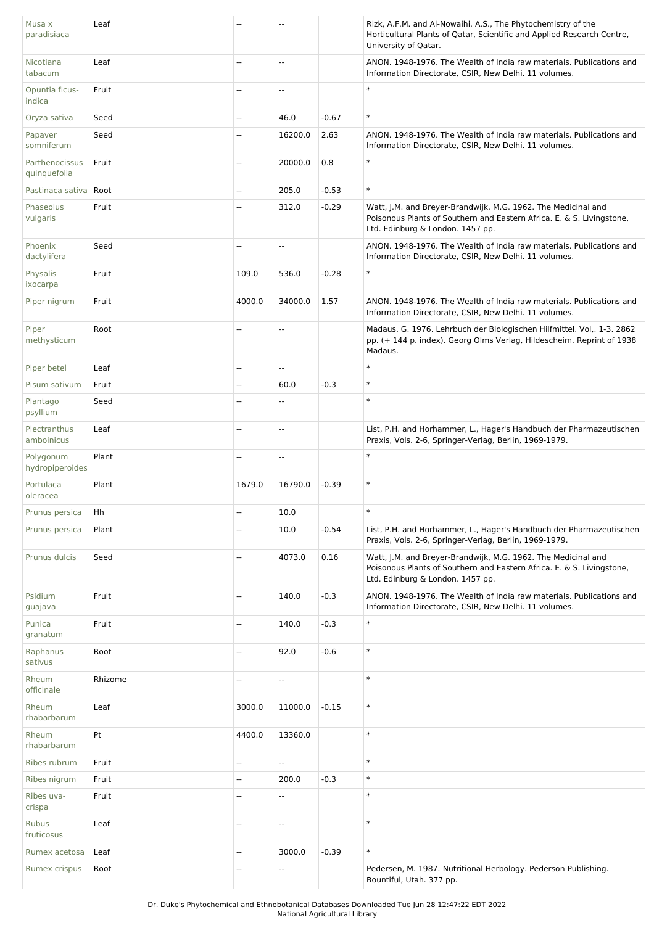| Musa x<br>paradisiaca          | Leaf    |                          |                          |         | Rizk, A.F.M. and Al-Nowaihi, A.S., The Phytochemistry of the<br>Horticultural Plants of Qatar, Scientific and Applied Research Centre,<br>University of Qatar.             |
|--------------------------------|---------|--------------------------|--------------------------|---------|----------------------------------------------------------------------------------------------------------------------------------------------------------------------------|
| Nicotiana<br>tabacum           | Leaf    | ш,                       | --                       |         | ANON. 1948-1976. The Wealth of India raw materials. Publications and<br>Information Directorate, CSIR, New Delhi. 11 volumes.                                              |
| Opuntia ficus-<br>indica       | Fruit   | $\overline{\phantom{a}}$ | --                       |         | $\ast$                                                                                                                                                                     |
| Oryza sativa                   | Seed    | $\mathbf{u}$             | 46.0                     | $-0.67$ | $\ast$                                                                                                                                                                     |
| Papaver<br>somniferum          | Seed    | $\overline{\phantom{a}}$ | 16200.0                  | 2.63    | ANON. 1948-1976. The Wealth of India raw materials. Publications and<br>Information Directorate, CSIR, New Delhi. 11 volumes.                                              |
| Parthenocissus<br>quinquefolia | Fruit   | --                       | 20000.0                  | 0.8     | $\ast$                                                                                                                                                                     |
| Pastinaca sativa               | Root    | $\mathbb{L}$             | 205.0                    | $-0.53$ | $\ast$                                                                                                                                                                     |
| Phaseolus<br>vulgaris          | Fruit   | ш,                       | 312.0                    | $-0.29$ | Watt, J.M. and Breyer-Brandwijk, M.G. 1962. The Medicinal and<br>Poisonous Plants of Southern and Eastern Africa. E. & S. Livingstone,<br>Ltd. Edinburg & London. 1457 pp. |
| Phoenix<br>dactylifera         | Seed    | Ξ.                       | Ξ.                       |         | ANON. 1948-1976. The Wealth of India raw materials. Publications and<br>Information Directorate, CSIR, New Delhi. 11 volumes.                                              |
| Physalis<br>ixocarpa           | Fruit   | 109.0                    | 536.0                    | $-0.28$ | $\ast$                                                                                                                                                                     |
| Piper nigrum                   | Fruit   | 4000.0                   | 34000.0                  | 1.57    | ANON. 1948-1976. The Wealth of India raw materials. Publications and<br>Information Directorate, CSIR, New Delhi. 11 volumes.                                              |
| Piper<br>methysticum           | Root    | $\overline{a}$           | --                       |         | Madaus, G. 1976. Lehrbuch der Biologischen Hilfmittel. Vol,. 1-3. 2862<br>pp. (+ 144 p. index). Georg Olms Verlag, Hildescheim. Reprint of 1938<br>Madaus.                 |
| Piper betel                    | Leaf    | $\overline{\phantom{a}}$ | Ξ.                       |         | $\ast$                                                                                                                                                                     |
| Pisum sativum                  | Fruit   | $\mathbb{L}$             | 60.0                     | $-0.3$  | $\ast$                                                                                                                                                                     |
| Plantago<br>psyllium           | Seed    | $\overline{a}$           | Ξ.                       |         | $\ast$                                                                                                                                                                     |
| Plectranthus<br>amboinicus     | Leaf    | $\overline{\phantom{a}}$ | Ξ.                       |         | List, P.H. and Horhammer, L., Hager's Handbuch der Pharmazeutischen<br>Praxis, Vols. 2-6, Springer-Verlag, Berlin, 1969-1979.                                              |
| Polygonum<br>hydropiperoides   | Plant   | $\overline{\phantom{a}}$ | 44                       |         | $\ast$                                                                                                                                                                     |
| Portulaca<br>oleracea          | Plant   | 1679.0                   | 16790.0                  | $-0.39$ | $\ast$                                                                                                                                                                     |
| Prunus persica                 | Hh      | --                       | 10.0                     |         |                                                                                                                                                                            |
| Prunus persica                 | Plant   | $\mathbb{L}$             | 10.0                     | $-0.54$ | List, P.H. and Horhammer, L., Hager's Handbuch der Pharmazeutischen<br>Praxis, Vols. 2-6, Springer-Verlag, Berlin, 1969-1979.                                              |
| Prunus dulcis                  | Seed    | Ξ.                       | 4073.0                   | 0.16    | Watt, J.M. and Breyer-Brandwijk, M.G. 1962. The Medicinal and<br>Poisonous Plants of Southern and Eastern Africa. E. & S. Livingstone,<br>Ltd. Edinburg & London. 1457 pp. |
| Psidium<br>guajava             | Fruit   | Ξ.                       | 140.0                    | $-0.3$  | ANON. 1948-1976. The Wealth of India raw materials. Publications and<br>Information Directorate, CSIR, New Delhi. 11 volumes.                                              |
| Punica<br>granatum             | Fruit   | $\overline{\phantom{a}}$ | 140.0                    | $-0.3$  | $\ast$                                                                                                                                                                     |
| Raphanus<br>sativus            | Root    | $\mathbb{L}$             | 92.0                     | $-0.6$  | $\ast$                                                                                                                                                                     |
| Rheum<br>officinale            | Rhizome | $\overline{\phantom{a}}$ | --                       |         | $\ast$                                                                                                                                                                     |
| Rheum<br>rhabarbarum           | Leaf    | 3000.0                   | 11000.0                  | $-0.15$ | $\ast$                                                                                                                                                                     |
| Rheum<br>rhabarbarum           | Pt      | 4400.0                   | 13360.0                  |         | $\ast$                                                                                                                                                                     |
| Ribes rubrum                   | Fruit   | $\overline{\phantom{a}}$ | ۰.                       |         | $\ast$                                                                                                                                                                     |
| Ribes nigrum                   | Fruit   | $\overline{\phantom{a}}$ | 200.0                    | $-0.3$  | $\ast$                                                                                                                                                                     |
| Ribes uva-<br>crispa           | Fruit   | $\overline{\phantom{a}}$ | Ξ.                       |         | $\ast$                                                                                                                                                                     |
| <b>Rubus</b><br>fruticosus     | Leaf    | $\overline{\phantom{a}}$ | $\overline{\phantom{a}}$ |         | $\ast$                                                                                                                                                                     |
| Rumex acetosa                  | Leaf    | $\overline{\phantom{a}}$ | 3000.0                   | $-0.39$ | $\ast$                                                                                                                                                                     |
| Rumex crispus                  | Root    | $\overline{\phantom{a}}$ | --                       |         | Pedersen, M. 1987. Nutritional Herbology. Pederson Publishing.<br>Bountiful, Utah. 377 pp.                                                                                 |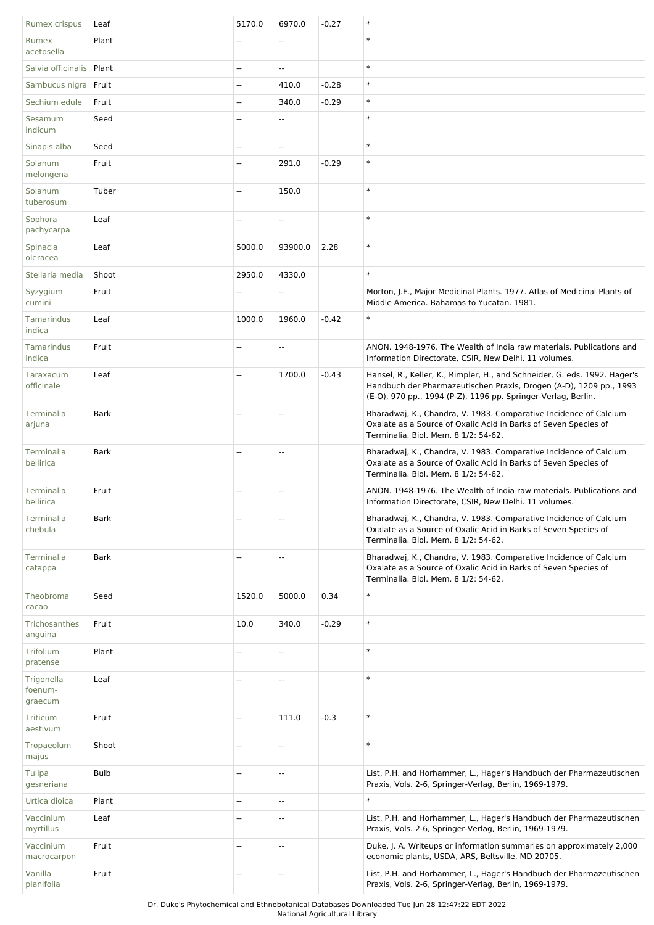| Rumex crispus                    | Leaf        | 5170.0                   | 6970.0  | $-0.27$ | $\ast$                                                                                                                                                                                                           |
|----------------------------------|-------------|--------------------------|---------|---------|------------------------------------------------------------------------------------------------------------------------------------------------------------------------------------------------------------------|
| Rumex<br>acetosella              | Plant       | $\overline{\phantom{a}}$ | Ξ.      |         | $\ast$                                                                                                                                                                                                           |
| Salvia officinalis   Plant       |             | $\overline{\phantom{a}}$ | u.      |         | $\ast$                                                                                                                                                                                                           |
| Sambucus nigra   Fruit           |             | Ξ.                       | 410.0   | $-0.28$ | $\ast$                                                                                                                                                                                                           |
| Sechium edule                    | Fruit       | u.                       | 340.0   | $-0.29$ | $\ast$                                                                                                                                                                                                           |
| Sesamum<br>indicum               | Seed        | --                       | -−      |         | $\ast$                                                                                                                                                                                                           |
| Sinapis alba                     | Seed        | --                       | Ξ.      |         | $\ast$                                                                                                                                                                                                           |
| Solanum<br>melongena             | Fruit       | --                       | 291.0   | $-0.29$ | $\ast$                                                                                                                                                                                                           |
| Solanum<br>tuberosum             | Tuber       | Ξ.                       | 150.0   |         | $\ast$                                                                                                                                                                                                           |
| Sophora<br>pachycarpa            | Leaf        | $\overline{\phantom{a}}$ | Щ,      |         | $\ast$                                                                                                                                                                                                           |
| Spinacia<br>oleracea             | Leaf        | 5000.0                   | 93900.0 | 2.28    | $\ast$                                                                                                                                                                                                           |
| Stellaria media                  | Shoot       | 2950.0                   | 4330.0  |         | $\ast$                                                                                                                                                                                                           |
| Syzygium<br>cumini               | Fruit       | $\overline{\phantom{a}}$ | Щ,      |         | Morton, J.F., Major Medicinal Plants. 1977. Atlas of Medicinal Plants of<br>Middle America. Bahamas to Yucatan. 1981.                                                                                            |
| Tamarindus<br>indica             | Leaf        | 1000.0                   | 1960.0  | $-0.42$ | $\ast$                                                                                                                                                                                                           |
| Tamarindus<br>indica             | Fruit       | Ξ.                       | Ш,      |         | ANON, 1948-1976. The Wealth of India raw materials. Publications and<br>Information Directorate, CSIR, New Delhi. 11 volumes.                                                                                    |
| Taraxacum<br>officinale          | Leaf        | Ξ.                       | 1700.0  | $-0.43$ | Hansel, R., Keller, K., Rimpler, H., and Schneider, G. eds. 1992. Hager's<br>Handbuch der Pharmazeutischen Praxis, Drogen (A-D), 1209 pp., 1993<br>(E-O), 970 pp., 1994 (P-Z), 1196 pp. Springer-Verlag, Berlin. |
| Terminalia<br>arjuna             | <b>Bark</b> | --                       | Ц.      |         | Bharadwaj, K., Chandra, V. 1983. Comparative Incidence of Calcium<br>Oxalate as a Source of Oxalic Acid in Barks of Seven Species of<br>Terminalia. Biol. Mem. 8 1/2: 54-62.                                     |
| Terminalia<br>bellirica          | <b>Bark</b> | --                       | --      |         | Bharadwaj, K., Chandra, V. 1983. Comparative Incidence of Calcium<br>Oxalate as a Source of Oxalic Acid in Barks of Seven Species of<br>Terminalia. Biol. Mem. 8 1/2: 54-62.                                     |
| Terminalia<br>bellirica          | Fruit       | $\overline{a}$           | u.      |         | ANON. 1948-1976. The Wealth of India raw materials. Publications and<br>Information Directorate, CSIR, New Delhi. 11 volumes.                                                                                    |
| Terminalia<br>chebula            | <b>Bark</b> | Ц.                       | Ц.      |         | Bharadwaj, K., Chandra, V. 1983. Comparative Incidence of Calcium<br>Oxalate as a Source of Oxalic Acid in Barks of Seven Species of<br>Terminalia. Biol. Mem. 8 1/2: 54-62.                                     |
| Terminalia<br>catappa            | Bark        | --                       | --      |         | Bharadwaj, K., Chandra, V. 1983. Comparative Incidence of Calcium<br>Oxalate as a Source of Oxalic Acid in Barks of Seven Species of<br>Terminalia. Biol. Mem. 8 1/2: 54-62.                                     |
| Theobroma<br>cacao               | Seed        | 1520.0                   | 5000.0  | 0.34    | $\ast$                                                                                                                                                                                                           |
| Trichosanthes<br>anguina         | Fruit       | 10.0                     | 340.0   | $-0.29$ | $\ast$                                                                                                                                                                                                           |
| Trifolium<br>pratense            | Plant       | --                       | --      |         | $\ast$                                                                                                                                                                                                           |
| Trigonella<br>foenum-<br>graecum | Leaf        | --                       | --      |         | $\ast$                                                                                                                                                                                                           |
| Triticum<br>aestivum             | Fruit       | Ξ.                       | 111.0   | $-0.3$  | $\ast$                                                                                                                                                                                                           |
| Tropaeolum<br>majus              | Shoot       | $\overline{\phantom{a}}$ | Ξ.      |         | $\ast$                                                                                                                                                                                                           |
| Tulipa<br>gesneriana             | <b>Bulb</b> | $\overline{\phantom{a}}$ | Щ,      |         | List, P.H. and Horhammer, L., Hager's Handbuch der Pharmazeutischen<br>Praxis, Vols. 2-6, Springer-Verlag, Berlin, 1969-1979.                                                                                    |
| Urtica dioica                    | Plant       | --                       | Ξ.      |         | $\ast$                                                                                                                                                                                                           |
| Vaccinium<br>myrtillus           | Leaf        | --                       | --      |         | List, P.H. and Horhammer, L., Hager's Handbuch der Pharmazeutischen<br>Praxis, Vols. 2-6, Springer-Verlag, Berlin, 1969-1979.                                                                                    |
| Vaccinium<br>macrocarpon         | Fruit       | $\overline{\phantom{a}}$ | --      |         | Duke, J. A. Writeups or information summaries on approximately 2,000<br>economic plants, USDA, ARS, Beltsville, MD 20705.                                                                                        |
| Vanilla<br>planifolia            | Fruit       | --                       | Ξ.      |         | List, P.H. and Horhammer, L., Hager's Handbuch der Pharmazeutischen<br>Praxis, Vols. 2-6, Springer-Verlag, Berlin, 1969-1979.                                                                                    |

Dr. Duke's Phytochemical and Ethnobotanical Databases Downloaded Tue Jun 28 12:47:22 EDT 2022

National Agricultural Library